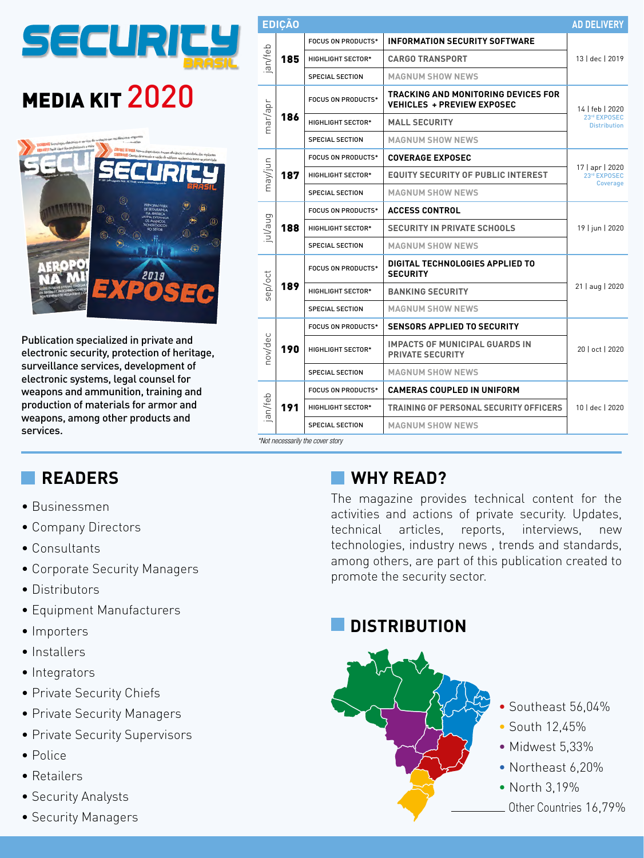

# MEDIA KIT 2020



Publication specialized in private and electronic security, protection of heritage, surveillance services, development of electronic systems, legal counsel for weapons and ammunition, training and production of materials for armor and weapons, among other products and services.

#### **READERS**

- Businessmen
- Company Directors
- Consultants
- Corporate Security Managers
- Distributors
- Equipment Manufacturers
- Importers
- Installers
- Integrators
- Private Security Chiefs
- Private Security Managers
- Private Security Supervisors
- Police
- Retailers
- Security Analysts
- Security Managers

|         | <b>EDIÇÃO</b> |                                  |                                                                                 | <b>AD DELIVERY</b>                                     |
|---------|---------------|----------------------------------|---------------------------------------------------------------------------------|--------------------------------------------------------|
| jan/feb | 185           | <b>FOCUS ON PRODUCTS*</b>        | <b>INFORMATION SECURITY SOFTWARE</b>                                            | 13   dec   2019                                        |
|         |               | <b>HIGHLIGHT SECTOR*</b>         | <b>CARGO TRANSPORT</b>                                                          |                                                        |
|         |               | <b>SPECIAL SECTION</b>           | <b>MAGNUM SHOW NEWS</b>                                                         |                                                        |
| mar/apr | 186           | <b>FOCUS ON PRODUCTS*</b>        | <b>TRACKING AND MONITORING DEVICES FOR</b><br><b>VEHICLES + PREVIEW EXPOSEC</b> | 14   feb   2020<br>23rd EXPOSEC<br><b>Distribution</b> |
|         |               | <b>HIGHLIGHT SECTOR*</b>         | <b>MALL SECURITY</b>                                                            |                                                        |
|         |               | <b>SPECIAL SECTION</b>           | <b>MAGNUM SHOW NEWS</b>                                                         |                                                        |
| may/jun | 187           | <b>FOCUS ON PRODUCTS*</b>        | <b>COVERAGE EXPOSEC</b>                                                         | 17   apr   2020<br>23rd EXPOSEC<br>Coverage            |
|         |               | <b>HIGHLIGHT SECTOR*</b>         | <b>EQUITY SECURITY OF PUBLIC INTEREST</b>                                       |                                                        |
|         |               | <b>SPECIAL SECTION</b>           | <b>MAGNUM SHOW NEWS</b>                                                         |                                                        |
|         | 188           | <b>FOCUS ON PRODUCTS*</b>        | <b>ACCESS CONTROL</b>                                                           | 19   jun   2020                                        |
| jul/aug |               | HIGHLIGHT SECTOR*                | <b>SECURITY IN PRIVATE SCHOOLS</b>                                              |                                                        |
|         |               | <b>SPECIAL SECTION</b>           | <b>MAGNUM SHOW NEWS</b>                                                         |                                                        |
|         | 189           | <b>FOCUS ON PRODUCTS*</b>        | DIGITAL TECHNOLOGIES APPLIED TO<br><b>SECURITY</b>                              | 21   aug   2020                                        |
| sep/oct |               | HIGHLIGHT SECTOR*                | <b>BANKING SECURITY</b>                                                         |                                                        |
|         |               | <b>SPECIAL SECTION</b>           | <b>MAGNUM SHOW NEWS</b>                                                         |                                                        |
|         | 190           | <b>FOCUS ON PRODUCTS*</b>        | <b>SENSORS APPLIED TO SECURITY</b>                                              | 20   oct   2020                                        |
| nov/dec |               | <b>HIGHLIGHT SECTOR*</b>         | <b>IMPACTS OF MUNICIPAL GUARDS IN</b><br><b>PRIVATE SECURITY</b>                |                                                        |
|         |               | SPECIAL SECTION                  | <b>MAGNUM SHOW NEWS</b>                                                         |                                                        |
| jan/feb | 191           | <b>FOCUS ON PRODUCTS*</b>        | <b>CAMERAS COUPLED IN UNIFORM</b>                                               | 10   dec   2020                                        |
|         |               | HIGHLIGHT SECTOR*                | <b>TRAINING OF PERSONAL SECURITY OFFICERS</b>                                   |                                                        |
|         |               | <b>SPECIAL SECTION</b>           | <b>MAGNUM SHOW NEWS</b>                                                         |                                                        |
|         |               | *Not necessarily the cover story |                                                                                 |                                                        |

#### **WHY READ?**

The magazine provides technical content for the activities and actions of private security. Updates, technical articles, reports, interviews, new technologies, industry news , trends and standards, among others, are part of this publication created to promote the security sector.

#### **DISTRIBUTION**



- Southeast 56,04%
- South 12,45%
- Midwest 5,33%
- Northeast 6,20%
- North 3,19%
- Other Countries 16,79%